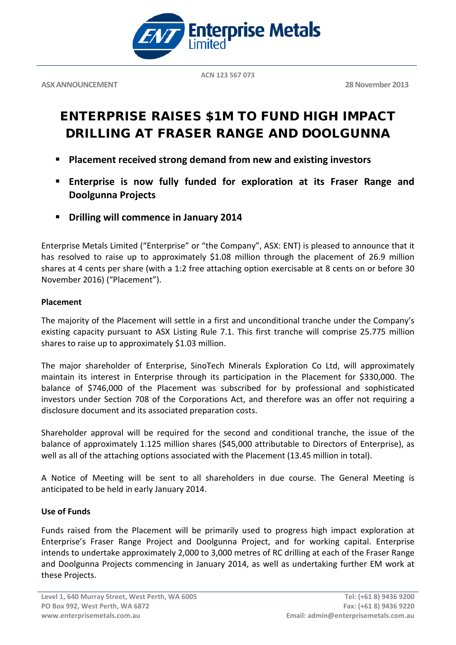

**ASX ANNOUNCEMENT** 28 November 2013

**ACN 123 567 073**

# ENTERPRISE RAISES \$1M TO FUND HIGH IMPACT DRILLING AT FRASER RANGE AND DOOLGUNNA

- **Placement received strong demand from new and existing investors**
- **Enterprise is now fully funded for exploration at its Fraser Range and Doolgunna Projects**
- **Drilling will commence in January 2014**

Enterprise Metals Limited ("Enterprise" or "the Company", ASX: ENT) is pleased to announce that it has resolved to raise up to approximately \$1.08 million through the placement of 26.9 million shares at 4 cents per share (with a 1:2 free attaching option exercisable at 8 cents on or before 30 November 2016) ("Placement").

### **Placement**

The majority of the Placement will settle in a first and unconditional tranche under the Company's existing capacity pursuant to ASX Listing Rule 7.1. This first tranche will comprise 25.775 million shares to raise up to approximately \$1.03 million.

The major shareholder of Enterprise, SinoTech Minerals Exploration Co Ltd, will approximately maintain its interest in Enterprise through its participation in the Placement for \$330,000. The balance of \$746,000 of the Placement was subscribed for by professional and sophisticated investors under Section 708 of the Corporations Act, and therefore was an offer not requiring a disclosure document and its associated preparation costs.

Shareholder approval will be required for the second and conditional tranche, the issue of the balance of approximately 1.125 million shares (\$45,000 attributable to Directors of Enterprise), as well as all of the attaching options associated with the Placement (13.45 million in total).

A Notice of Meeting will be sent to all shareholders in due course. The General Meeting is anticipated to be held in early January 2014.

## **Use of Funds**

Funds raised from the Placement will be primarily used to progress high impact exploration at Enterprise's Fraser Range Project and Doolgunna Project, and for working capital. Enterprise intends to undertake approximately 2,000 to 3,000 metres of RC drilling at each of the Fraser Range and Doolgunna Projects commencing in January 2014, as well as undertaking further EM work at these Projects.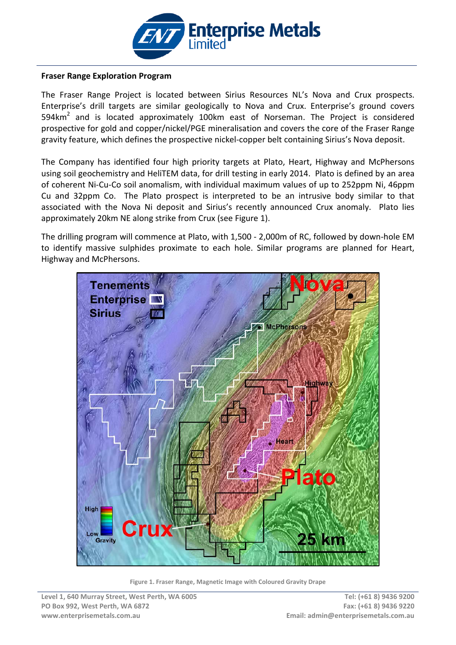

#### **Fraser Range Exploration Program**

The Fraser Range Project is located between Sirius Resources NL's Nova and Crux prospects. Enterprise's drill targets are similar geologically to Nova and Crux. Enterprise's ground covers 594 $km<sup>2</sup>$  and is located approximately 100 $km$  east of Norseman. The Project is considered prospective for gold and copper/nickel/PGE mineralisation and covers the core of the Fraser Range gravity feature, which defines the prospective nickel-copper belt containing Sirius's Nova deposit.

The Company has identified four high priority targets at Plato, Heart, Highway and McPhersons using soil geochemistry and HeliTEM data, for drill testing in early 2014. Plato is defined by an area of coherent Ni-Cu-Co soil anomalism, with individual maximum values of up to 252ppm Ni, 46ppm Cu and 32ppm Co. The Plato prospect is interpreted to be an intrusive body similar to that associated with the Nova Ni deposit and Sirius's recently announced Crux anomaly. Plato lies approximately 20km NE along strike from Crux (see Figure 1).

The drilling program will commence at Plato, with 1,500 - 2,000m of RC, followed by down-hole EM to identify massive sulphides proximate to each hole. Similar programs are planned for Heart, Highway and McPhersons.



**Figure 1. Fraser Range, Magnetic Image with Coloured Gravity Drape**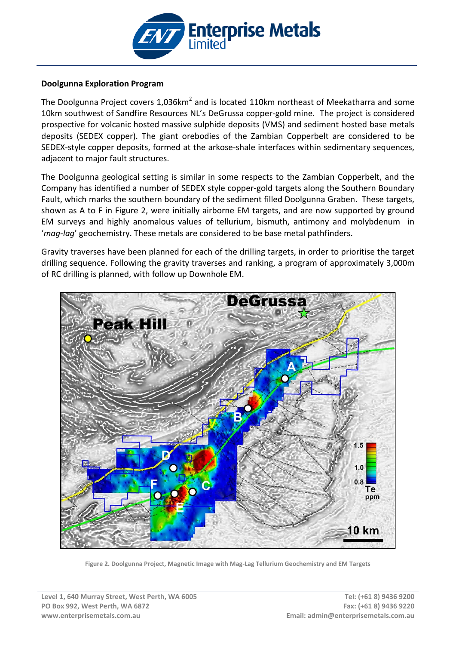

#### **Doolgunna Exploration Program**

The Doolgunna Project covers 1,036km<sup>2</sup> and is located 110km northeast of Meekatharra and some 10km southwest of Sandfire Resources NL's DeGrussa copper-gold mine. The project is considered prospective for volcanic hosted massive sulphide deposits (VMS) and sediment hosted base metals deposits (SEDEX copper). The giant orebodies of the Zambian Copperbelt are considered to be SEDEX-style copper deposits, formed at the arkose[-shale](http://en.wikipedia.org/wiki/Shale) interfaces within sedimentary sequences, adjacent to major fault structures.

The Doolgunna geological setting is similar in some respects to the Zambian Copperbelt, and the Company has identified a number of SEDEX style copper-gold targets along the Southern Boundary Fault, which marks the southern boundary of the sediment filled Doolgunna Graben. These targets, shown as A to F in Figure 2, were initially airborne EM targets, and are now supported by ground EM surveys and highly anomalous values of tellurium, bismuth, antimony and molybdenum in '*mag-lag*' geochemistry. These metals are considered to be base metal pathfinders.

Gravity traverses have been planned for each of the drilling targets, in order to prioritise the target drilling sequence. Following the gravity traverses and ranking, a program of approximately 3,000m of RC drilling is planned, with follow up Downhole EM.



**Figure 2. Doolgunna Project, Magnetic Image with Mag-Lag Tellurium Geochemistry and EM Targets**